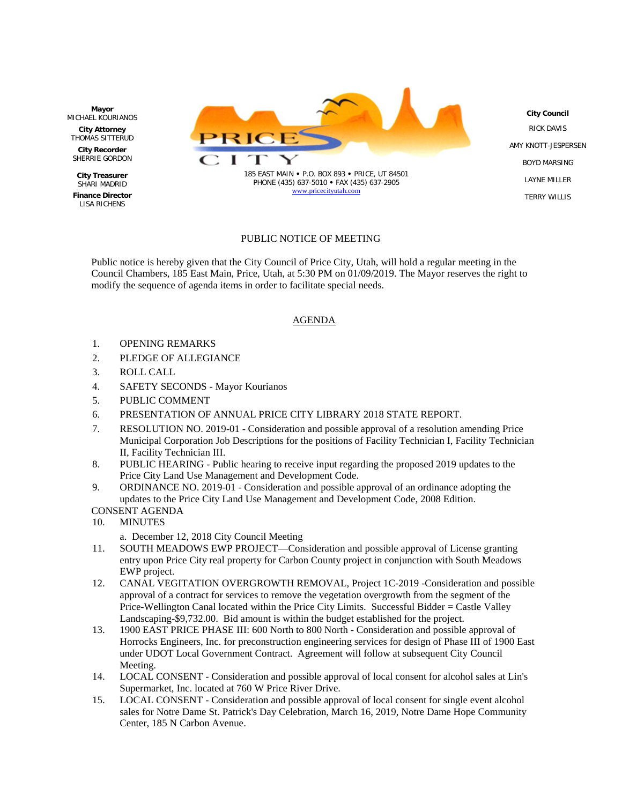

## PUBLIC NOTICE OF MEETING

Public notice is hereby given that the City Council of Price City, Utah, will hold a regular meeting in the Council Chambers, 185 East Main, Price, Utah, at 5:30 PM on 01/09/2019. The Mayor reserves the right to modify the sequence of agenda items in order to facilitate special needs.

## AGENDA

- 1. OPENING REMARKS
- 2. PLEDGE OF ALLEGIANCE
- 3. ROLL CALL
- 4. SAFETY SECONDS Mayor Kourianos
- 5. PUBLIC COMMENT
- 6. PRESENTATION OF ANNUAL PRICE CITY LIBRARY 2018 STATE REPORT.
- 7. RESOLUTION NO. 2019-01 Consideration and possible approval of a resolution amending Price Municipal Corporation Job Descriptions for the positions of Facility Technician I, Facility Technician II, Facility Technician III.
- 8. PUBLIC HEARING Public hearing to receive input regarding the proposed 2019 updates to the Price City Land Use Management and Development Code.
- 9. ORDINANCE NO. 2019-01 Consideration and possible approval of an ordinance adopting the updates to the Price City Land Use Management and Development Code, 2008 Edition. CONSENT AGENDA
- 10. MINUTES
	- a. December 12, 2018 City Council Meeting
- 11. SOUTH MEADOWS EWP PROJECT—Consideration and possible approval of License granting entry upon Price City real property for Carbon County project in conjunction with South Meadows EWP project.
- 12. CANAL VEGITATION OVERGROWTH REMOVAL, Project 1C-2019 -Consideration and possible approval of a contract for services to remove the vegetation overgrowth from the segment of the Price-Wellington Canal located within the Price City Limits. Successful Bidder = Castle Valley Landscaping-\$9,732.00. Bid amount is within the budget established for the project.
- 13. 1900 EAST PRICE PHASE III: 600 North to 800 North Consideration and possible approval of Horrocks Engineers, Inc. for preconstruction engineering services for design of Phase III of 1900 East under UDOT Local Government Contract. Agreement will follow at subsequent City Council Meeting.
- 14. LOCAL CONSENT Consideration and possible approval of local consent for alcohol sales at Lin's Supermarket, Inc. located at 760 W Price River Drive.
- 15. LOCAL CONSENT Consideration and possible approval of local consent for single event alcohol sales for Notre Dame St. Patrick's Day Celebration, March 16, 2019, Notre Dame Hope Community Center, 185 N Carbon Avenue.

**Mayor** MICHAEL KOURIANOS

**City Attorney** THOMAS SITTERUD

**City Recorder** SHERRIE GORDON

**City Treasurer** SHARI MADRID **Finance Director** LISA RICHENS